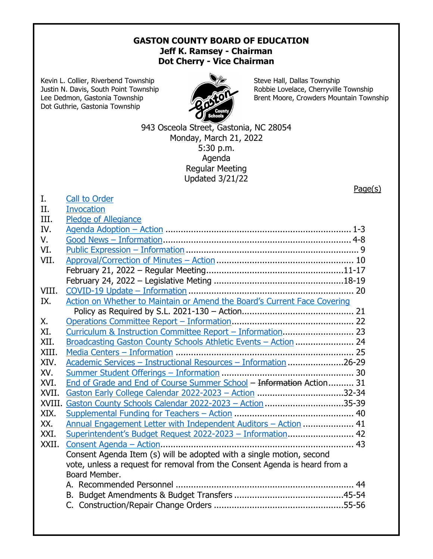## **GASTON COUNTY BOARD OF EDUCATION Jeff K. Ramsey - Chairman Dot Cherry - Vice Chairman**

Kevin L. Collier, Riverbend Township Steve Hall, Dallas Township Dot Guthrie, Gastonia Township



Justin N. Davis, South Point Township Robbie Lovelace, Cherryville Township Lee Dedmon, Gastonia Township **Brent Moore, Crowders Mountain Township** 

Page(s)

943 Osceola Street, Gastonia, NC 28054 Monday, March 21, 2022 5:30 p.m. Agenda Regular Meeting Updated 3/21/22

|  | Call to Order |
|--|---------------|
|  |               |

## II. [Invocation](https://www.youtube.com/watch?v=w6uV_vemCcE#t=5m51s)

| III.   | <b>Pledge of Allegiance</b>                                                |  |
|--------|----------------------------------------------------------------------------|--|
| IV.    |                                                                            |  |
| V.     |                                                                            |  |
| VI.    |                                                                            |  |
| VII.   |                                                                            |  |
|        |                                                                            |  |
|        |                                                                            |  |
| VIII.  |                                                                            |  |
| IX.    | Action on Whether to Maintain or Amend the Board's Current Face Covering   |  |
|        |                                                                            |  |
| Χ.     |                                                                            |  |
| XI.    |                                                                            |  |
| XII.   | Broadcasting Gaston County Schools Athletic Events - Action  24            |  |
| XIII.  |                                                                            |  |
| XIV.   | <u> Academic Services - Instructional Resources - Information</u> 26-29    |  |
| XV.    |                                                                            |  |
| XVI.   | End of Grade and End of Course Summer School - Information Action 31       |  |
| XVII.  | Gaston Early College Calendar 2022-2023 - Action 32-34                     |  |
| XVIII. | Gaston County Schools Calendar 2022-2023 - Action 35-39                    |  |
| XIX.   |                                                                            |  |
| XX.    | Annual Engagement Letter with Independent Auditors - Action  41            |  |
| XXI.   | Superintendent's Budget Request 2022-2023 - Information 42                 |  |
| XXII.  |                                                                            |  |
|        | Consent Agenda Item (s) will be adopted with a single motion, second       |  |
|        | vote, unless a request for removal from the Consent Agenda is heard from a |  |
|        | Board Member.                                                              |  |
|        |                                                                            |  |
|        |                                                                            |  |
|        |                                                                            |  |
|        |                                                                            |  |